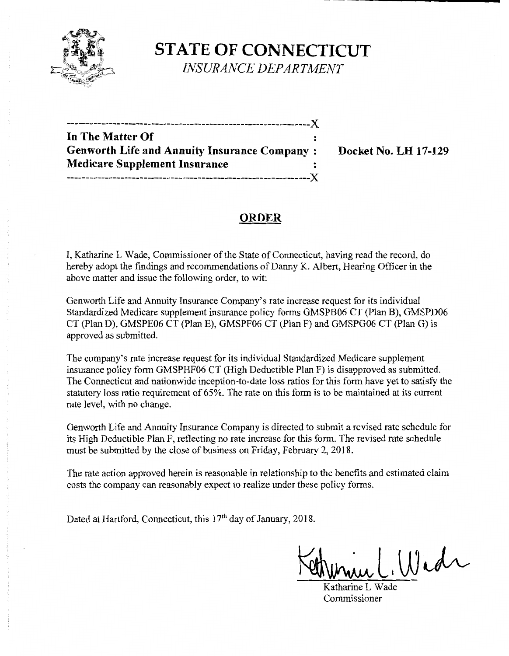

**STATE OF CONNECTICUT** 

*INSURANCE DEPARTMENT* 

| In The Matter Of                                    |  |
|-----------------------------------------------------|--|
| <b>Genworth Life and Annuity Insurance Company:</b> |  |
| <b>Medicare Supplement Insurance</b>                |  |
|                                                     |  |

**Docket No. LH 17-129** 

# **ORDER**

I, Katharine L Wade, Commissioner of the State of Connecticut, having read the record, do hereby adopt the findings and recommendations of Danny K. Albert, Hearing Officer in the above matter and issue the following order, to wit:

Genworth Life and Annuity Insurance Company's rate increase request for its individual Standardized Medicare supplement insurance policy forms GMSPB06 CT (Plan B), GMSPD06 CT (Plan D), GMSPE06 CT (Plan E), GMSPF06 CT (Plan F) and GMSPG06 CT (Plan G) is approved as submitted.

The company's rate increase request for its individual Standardized Medicare supplement insurance policy form GMSPHF06 CT (High Deductible Plan F) is disapproved as submitted. The Connecticut and nationwide inception-to-date loss ratios for this form have yet to satisfy the statutory loss ratio requirement of 65%. The rate on this form is to be maintained at its current rate level, with no change.

Genworth Life and Annuity Insurance Company is directed to submit a revised rate schedule for its High Deductible Plan F, reflecting no rate increase for this form. The revised rate schedule must be submitted by the close of business on Friday, February 2, 2018.

The rate action approved herein is reasonable in relationship to the benefits and estimated claim costs the company can reasonably expect to realize under these policy forms.

Dated at Hartford, Connecticut, this 17<sup>th</sup> day of January, 2018.

Winne L. Wide

Commissioner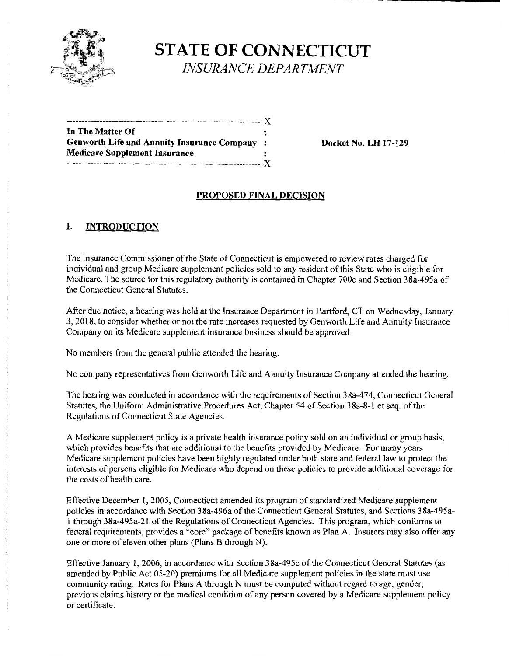

**STATE OF CONNECTICUT**  *INSURANCE DEPARTMENT* 

| In The Matter Of                             |  |
|----------------------------------------------|--|
| Genworth Life and Annuity Insurance Company: |  |
| <b>Medicare Supplement Insurance</b>         |  |
|                                              |  |

**Docket No. LH 17-129** 

## **PROPOSED FINAL DECISION**

### **I. INTRODUCTION**

The Insurance Commissioner of the State of Connecticut is empowered to review rates charged for individual and group Medicare supplement policies sold to any resident of this State who is eligible for Medicare. The source for this regulatory authority is contained in Chapter 700c and Section 38a-495a of the Connecticut General Statutes.

After due notice, a hearing was held at the Insurance Department in Hartford, CT on Wednesday, January 3, 2018, to consider whether or not the rate increases requested by Genworth Life and Annuity Insurance Company on its Medicare supplement insurance business should be approved.

No members from the general public attended the hearing.

No company representatives from Genworth Life and Annuity Insurance Company attended the hearing.

The hearing was conducted in accordance with the requirements of Section 3 8a-4 74, Connecticut General Statutes, the Uniform Administrative Procedures Act, Chapter 54 of Section 38a-8-1 et seq. of the Regulations of Connecticut State Agencies.

A Medicare supplement policy is a private health insurance policy sold on an individual or group basis, which provides benefits that are additional to the benefits provided by Medicare. For many years Medicare supplement policies have been highly regulated under both state and federal law to protect the interests of persons eligible for Medicare who depend on these policies to provide additional coverage for the costs of health care.

Effective December I, 2005, Connecticut amended its program of standardized Medicare supplement policies in accordance with Section 38a-496a of the Connecticut General Statutes, and Sections 38a-495al through 38a-495a-2I of the Regulations of Connecticut Agencies. This program, which conforms to federal requirements, provides a "core" package of benefits known as Plan A. Insurers may also offer any one or more of eleven other plans (Plans B through N).

Effective January I, 2006, in accordance with Section 38a-495c ofthe Connecticut General Statutes (as amended by Public Act 05-20) premiums for all Medicare supplement policies in the state must use community rating. Rates for Plans A through N must be computed without regard to age, gender, previous claims history or the medical condition of any person covered by a Medicare supplement policy or certificate.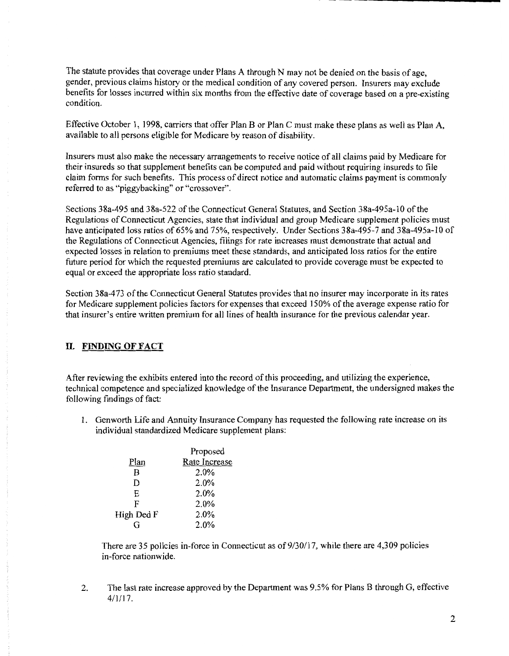The statute provides that coverage under Plans A through N may not be denied on the basis of age, gender, previous claims history or the medical condition of any covered person. Insurers may exclude benefits for losses incurred within six months from the effective date of coverage based on a pre-existing condition.

Effective October 1, 1998, carriers that offer Plan B or Plan C must make these plans as well as Plan A, available to all persons eligible for Medicare by reason of disability.

Insurers must also make the necessary arrangements to receive notice of all claims paid by Medicare for their insureds so that supplement benefits can be computed and paid without requiring insureds to file claim forms for such benefits. This process of direct notice and automatic claims payment is commonly referred to as "piggybacking" or "crossover".

Sections 38a-495 and 38a-522 of the Connecticut General Statutes, and Section 38a-495a-10 of the Regulations of Connecticut Agencies, state that individual and group Medicare supplement policies must have anticipated loss ratios of 65% and 75%, respectively. Under Sections 38a-495-7 and 38a-495a-10 of the Regulations of Connecticut Agencies, filings for rate increases must demonstrate that actual and expected losses in relation to premiums meet these standards, and anticipated loss ratios for the entire future period for which the requested premiums are calculated to provide coverage must be expected to equal or exceed the appropriate loss ratio standard.

Section 38a-473 of the Connecticut General Statutes provides that no insurer may incorporate in its rates for Medicare supplement policies factors for expenses that exceed 150% of the average expense ratio for that insurer's entire written premium for all lines of health insurance for the previous calendar year.

### II. **FINDING OF FACT**

After reviewing the exhibits entered into the record ofthis proceeding, and utilizing the experience, technical competence and specialized knowledge of the Insurance Department, the undersigned makes the following findings of fact:

1. Genworth Life and Annuity Insurance Company has requested the following rate increase on its individual standardized Medicare supplement plans:

|            | Proposed      |  |
|------------|---------------|--|
| Plan       | Rate Increase |  |
| B          | 2.0%          |  |
| D          | 2.0%          |  |
| E.         | 2.0%          |  |
| F          | 2.0%          |  |
| High Ded F | 2.0%          |  |
| ſ.         | 2.0%          |  |
|            |               |  |

There are 35 policies in-force in Connecticut as of 9/30/17, while there are 4,309 policies in-force nationwide.

2. The last rate increase approved by the Department was 9.5% for Plans B through G, effective 4/1/17.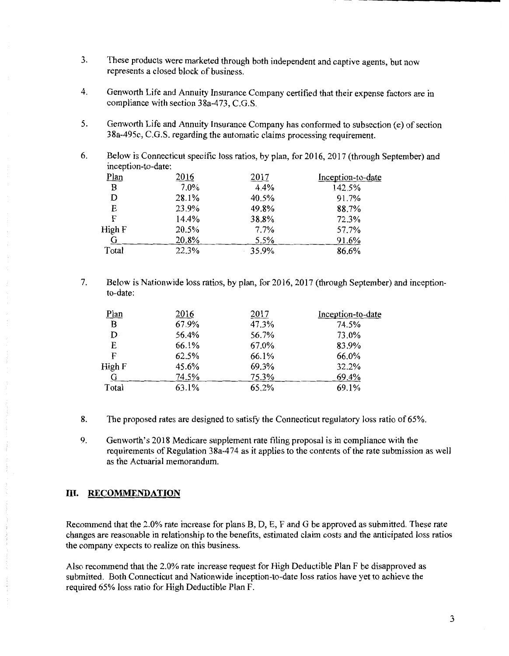- 3. These products were marketed through both independent and captive agents, but now represents a closed block of business.
- 4. Genworth Life and Annuity Insurance Company certified that their expense factors are in compliance with section 38a-473, C.G.S.
- 5. Genworth Life and Annuity Insurance Company has conformed to subsection (e) of section 38a-495c, C.G.S. regarding the automatic claims processing requirement.
- 6. Below is Connecticut specific loss ratios, by plan, for 2016, 2017 (through September) and inception-to-date:

| Plan   | 2016  | 2017  | Inception-to-date |
|--------|-------|-------|-------------------|
| B      | 7.0%  | 4.4%  | 142.5%            |
| D      | 28.1% | 40.5% | 91.7%             |
| E      | 23.9% | 49.8% | 88.7%             |
| F      | 14.4% | 38.8% | 72.3%             |
| High F | 20.5% | 7.7%  | 57.7%             |
| G      | 20.8% | 5.5%  | 91.6%             |
| Total  | 22.3% | 35.9% | 86.6%             |

7. Below is Nationwide loss ratios, by plan, for 2016, 2017 (through September) and inceptionto-date:

| Plan   | 2016  | 2017  | Inception-to-date |
|--------|-------|-------|-------------------|
| B      | 67.9% | 47.3% | 74.5%             |
| D.     | 56.4% | 56.7% | 73.0%             |
| E      | 66.1% | 67.0% | 83.9%             |
| F      | 62.5% | 66.1% | 66.0%             |
| High F | 45.6% | 69.3% | 32.2%             |
| G      | 74.5% | 75.3% | 69.4%             |
| Total  | 63.1% | 65.2% | 69.1%             |

- 8. The proposed rates are designed to satisfy the Connecticut regulatory loss ratio of 65%.
- 9. Genworth's 2018 Medicare supplement rate filing proposal is in compliance with the requirements of Regulation 38a-474 as it applies to the contents of the rate submission as well as the Actuarial memorandum.

#### **III. RECOMMENDATION**

Recommend that the 2.0% rate increase for plans B, D, E, F and G be approved as submitted. These rate changes are reasonable in relationship to the benefits, estimated claim costs and the anticipated loss ratios the company expects to realize on this business.

Also recommend that the 2.0% rate increase request for High Deductible Plan F be disapproved as submitted. Both Connecticut and Nationwide inception-to-date loss ratios have yet to achieve the required 65% loss ratio for High Deductible Plan F.